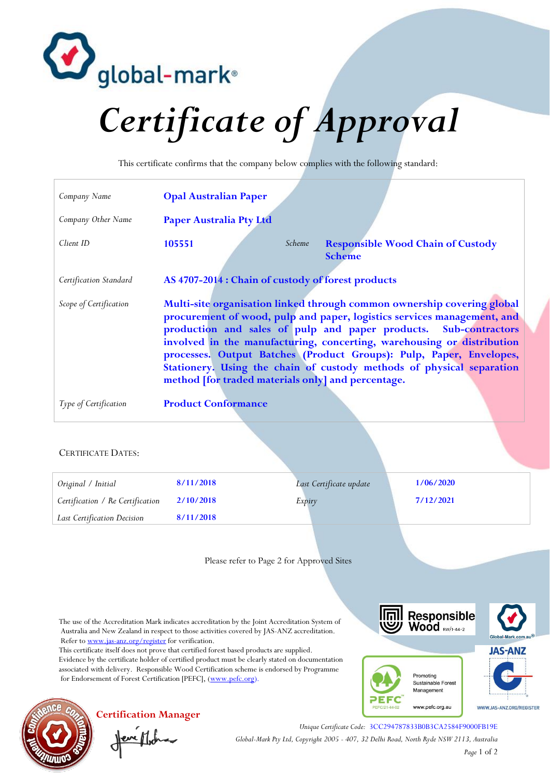

## *Certificate of Approval*

This certificate confirms that the company below complies with the following standard:

| Company Name              | <b>Opal Australian Paper</b>                                                                                                                                                                                                                                                                                                                                                                                                                                                                           |
|---------------------------|--------------------------------------------------------------------------------------------------------------------------------------------------------------------------------------------------------------------------------------------------------------------------------------------------------------------------------------------------------------------------------------------------------------------------------------------------------------------------------------------------------|
| Company Other Name        | <b>Paper Australia Pty Ltd</b>                                                                                                                                                                                                                                                                                                                                                                                                                                                                         |
| Client ID                 | 105551<br><b>Responsible Wood Chain of Custody</b><br>Scheme<br><b>Scheme</b>                                                                                                                                                                                                                                                                                                                                                                                                                          |
| Certification Standard    | AS 4707-2014 : Chain of custody of forest products                                                                                                                                                                                                                                                                                                                                                                                                                                                     |
| Scope of Certification    | Multi-site organisation linked through common ownership covering global<br>procurement of wood, pulp and paper, logistics services management, and<br>production and sales of pulp and paper products. Sub-contractors<br>involved in the manufacturing, concerting, warehousing or distribution<br>processes. Output Batches (Product Groups): Pulp, Paper, Envelopes,<br>Stationery. Using the chain of custody methods of physical separation<br>method [for traded materials only] and percentage. |
| Type of Certification     | <b>Product Conformance</b>                                                                                                                                                                                                                                                                                                                                                                                                                                                                             |
| <b>CERTIFICATE DATES:</b> |                                                                                                                                                                                                                                                                                                                                                                                                                                                                                                        |

| Original / Initial               | 8/11/2018 | Last Certificate update | 1/06/2020 |
|----------------------------------|-----------|-------------------------|-----------|
| Certification / Re Certification | 2/10/2018 | Expiry                  | 7/12/2021 |
| Last Certification Decision      | 8/11/2018 |                         |           |
|                                  |           |                         |           |

Please refer to Page 2 for Approved Sites

The use of the Accreditation Mark indicates accreditation by the Joint Accreditation System of Australia and New Zealand in respect to those activities covered by JAS-ANZ accreditation. Refer t[o www.jas-anz.org/register](http://www.jas-anz.org/register)</u> for verification.

This certificate itself does not prove that certified forest based products are supplied. Evidence by the certificate holder of certified product must be clearly stated on documentation associated with delivery. Responsible Wood Certification scheme is endorsed by Programme for Endorsement of Forest Certification [PEFC], [\(www.pefc.org\)](http://www.pefc.org/).





**Certification Manager**

Jeve Moha

*Unique Certificate Code:* 3CC294787833B0B3CA2584F9000FB19E *Global-Mark Pty Ltd, Copyright 2005 - 407, 32 Delhi Road, North Ryde NSW 2113, Australia Page* 1 of 2